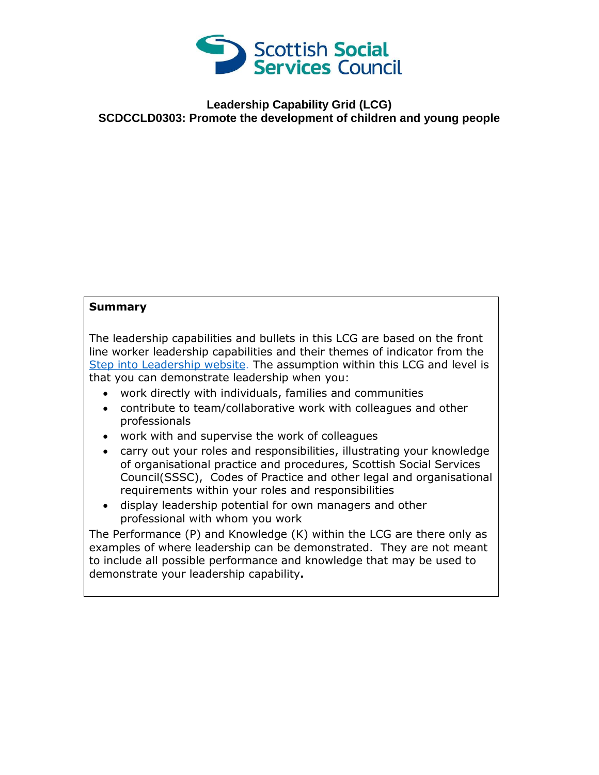

## **Leadership Capability Grid (LCG) SCDCCLD0303: Promote the development of children and young people**

## **Summary**

The leadership capabilities and bullets in this LCG are based on the front line worker leadership capabilities and their themes of indicator from the [Step into Leadership website.](http://www.stepintoleadership.info/) The assumption within this LCG and level is that you can demonstrate leadership when you:

- work directly with individuals, families and communities
- contribute to team/collaborative work with colleagues and other professionals
- work with and supervise the work of colleagues
- carry out your roles and responsibilities, illustrating your knowledge of organisational practice and procedures, Scottish Social Services Council(SSSC), Codes of Practice and other legal and organisational requirements within your roles and responsibilities
- display leadership potential for own managers and other professional with whom you work

The Performance (P) and Knowledge (K) within the LCG are there only as examples of where leadership can be demonstrated. They are not meant to include all possible performance and knowledge that may be used to demonstrate your leadership capability**.**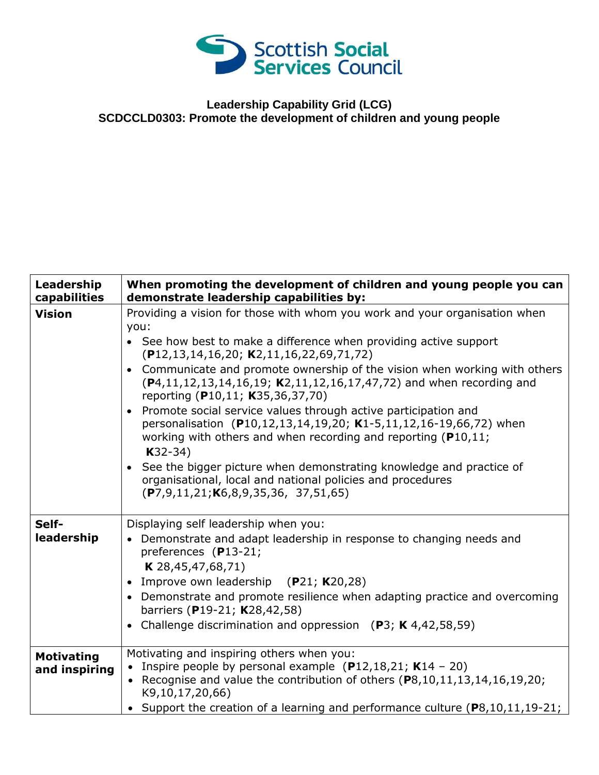

## **Leadership Capability Grid (LCG) SCDCCLD0303: Promote the development of children and young people**

| Leadership<br>capabilities         | When promoting the development of children and young people you can<br>demonstrate leadership capabilities by:                                                                                                                                                                                                                                                                                                                                                              |
|------------------------------------|-----------------------------------------------------------------------------------------------------------------------------------------------------------------------------------------------------------------------------------------------------------------------------------------------------------------------------------------------------------------------------------------------------------------------------------------------------------------------------|
| <b>Vision</b>                      | Providing a vision for those with whom you work and your organisation when<br>you:<br>• See how best to make a difference when providing active support<br>$(P12, 13, 14, 16, 20; K2, 11, 16, 22, 69, 71, 72)$<br>• Communicate and promote ownership of the vision when working with others<br>(P4,11,12,13,14,16,19; K2,11,12,16,17,47,72) and when recording and<br>reporting (P10,11; K35,36,37,70)<br>• Promote social service values through active participation and |
|                                    | personalisation (P10,12,13,14,19,20; K1-5,11,12,16-19,66,72) when<br>working with others and when recording and reporting ( $P10,11$ ;<br>$K32-34)$<br>• See the bigger picture when demonstrating knowledge and practice of<br>organisational, local and national policies and procedures<br>$(P7, 9, 11, 21; K6, 8, 9, 35, 36, 37, 51, 65)$                                                                                                                               |
| Self-                              | Displaying self leadership when you:                                                                                                                                                                                                                                                                                                                                                                                                                                        |
| leadership                         | • Demonstrate and adapt leadership in response to changing needs and<br>preferences (P13-21;<br>$K$ 28,45,47,68,71)<br>• Improve own leadership $(P21; K20,28)$<br>• Demonstrate and promote resilience when adapting practice and overcoming<br>barriers (P19-21; K28,42,58)<br>• Challenge discrimination and oppression $(P3; K4,42,58,59)$                                                                                                                              |
| <b>Motivating</b><br>and inspiring | Motivating and inspiring others when you:<br>• Inspire people by personal example $(P12, 18, 21; K14 - 20)$<br>• Recognise and value the contribution of others $(P8, 10, 11, 13, 14, 16, 19, 20;$<br>K9,10,17,20,66)                                                                                                                                                                                                                                                       |
|                                    | • Support the creation of a learning and performance culture $(P8, 10, 11, 19-21;$                                                                                                                                                                                                                                                                                                                                                                                          |